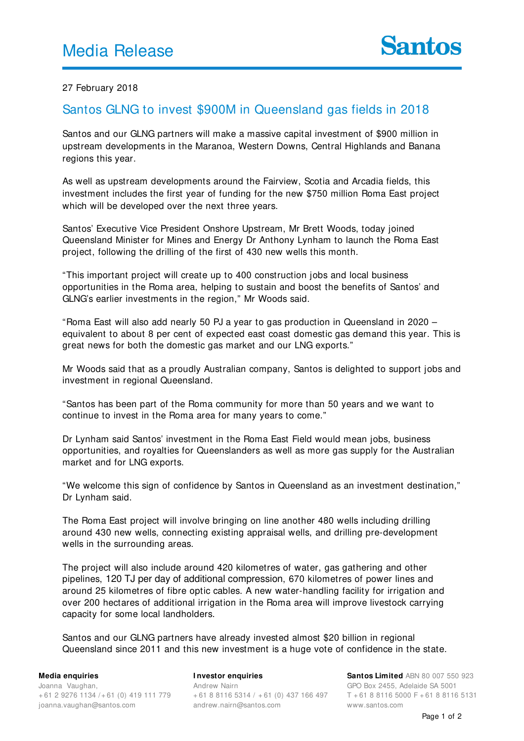## 27 February 2018

# Santos GLNG to invest \$900M in Queensland gas fields in 2018

Santos and our GLNG partners will make a massive capital investment of \$900 million in upstream developments in the Maranoa, Western Downs, Central Highlands and Banana regions this year.

As well as upstream developments around the Fairview, Scotia and Arcadia fields, this investment includes the first year of funding for the new \$750 million Roma East project which will be developed over the next three years.

Santos' Executive Vice President Onshore Upstream, Mr Brett Woods, today joined Queensland Minister for Mines and Energy Dr Anthony Lynham to launch the Roma East project, following the drilling of the first of 430 new wells this month.

"This important project will create up to 400 construction jobs and local business opportunities in the Roma area, helping to sustain and boost the benefits of Santos' and GLNG's earlier investments in the region," Mr Woods said.

"Roma East will also add nearly 50 PJ a year to gas production in Queensland in 2020 – equivalent to about 8 per cent of expected east coast domestic gas demand this year. This is great news for both the domestic gas market and our LNG exports."

Mr Woods said that as a proudly Australian company, Santos is delighted to support jobs and investment in regional Queensland.

"Santos has been part of the Roma community for more than 50 years and we want to continue to invest in the Roma area for many years to come."

Dr Lynham said Santos' investment in the Roma East Field would mean jobs, business opportunities, and royalties for Queenslanders as well as more gas supply for the Australian market and for LNG exports.

"We welcome this sign of confidence by Santos in Queensland as an investment destination," Dr Lynham said.

The Roma East project will involve bringing on line another 480 wells including drilling around 430 new wells, connecting existing appraisal wells, and drilling pre-development wells in the surrounding areas.

The project will also include around 420 kilometres of water, gas gathering and other pipelines, 120 TJ per day of additional compression, 670 kilometres of power lines and around 25 kilometres of fibre optic cables. A new water-handling facility for irrigation and over 200 hectares of additional irrigation in the Roma area will improve livestock carrying capacity for some local landholders.

Santos and our GLNG partners have already invested almost \$20 billion in regional Queensland since 2011 and this new investment is a huge vote of confidence in the state.

#### **Media enquiries**

Joanna Vaughan, + 61 2 9276 1134 /+ 61 (0) 419 111 779 joanna.vaughan@santos.com

## **I nvestor enquiries**

Andrew Nairn + 61 8 8116 5314 / + 61 (0) 437 166 497 andrew.nairn@santos.com

**Santos Limited** ABN 80 007 550 923 GPO Box 2455, Adelaide SA 5001 T + 61 8 8116 5000 F + 61 8 8116 5131 www.santos.com